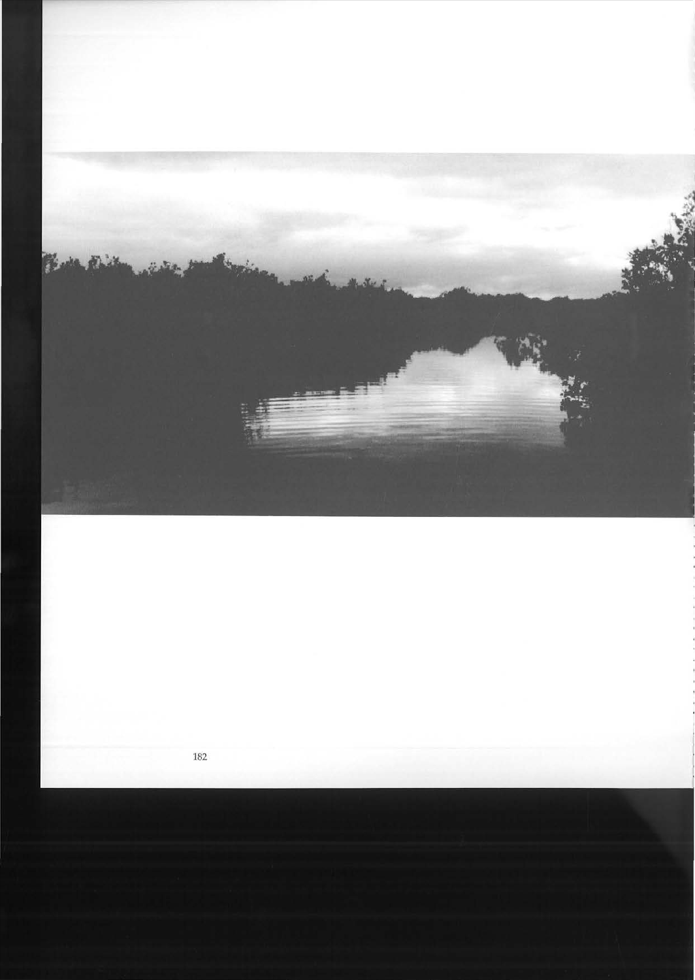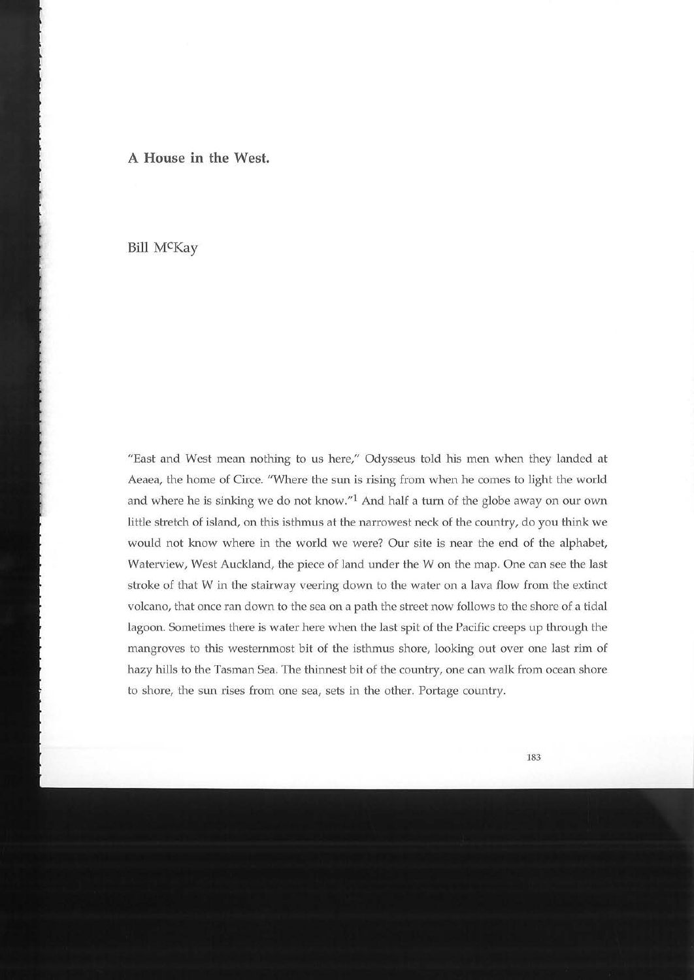**A House in the West.** 

Bill MCKay

"East and West mean nothing to us here," Odysseus told his men when they landed at Aeaea, the home of Circe. "Where the sun is rising from when he comes to light the world and where he is sinking we do not know."1 And half a turn of the globe away on our own little stretch of island, on this isthmus at the narrowest neck of the country, do you think we would not know where in the world we were? Our site is near the end of the alphabet, Waterview, West Auckland, the piece of land under the Won the map. One can see the last stroke of that W in the stairway veering down to the water on a lava flow from the extinct volcano, that once ran down to the sea on a path the street now follows to the shore of a tidal lagoon. Sometimes there is water here when the last spit of the Pacific creeps up through the mangroves to this westernmost bit of the isthmus shore, looking out over one last rim of hazy hills to the Tasman Sea. The thinnest bit of the country, one can walk from ocean shore to shore, the sun rises from one sea, sets in the other. Portage country.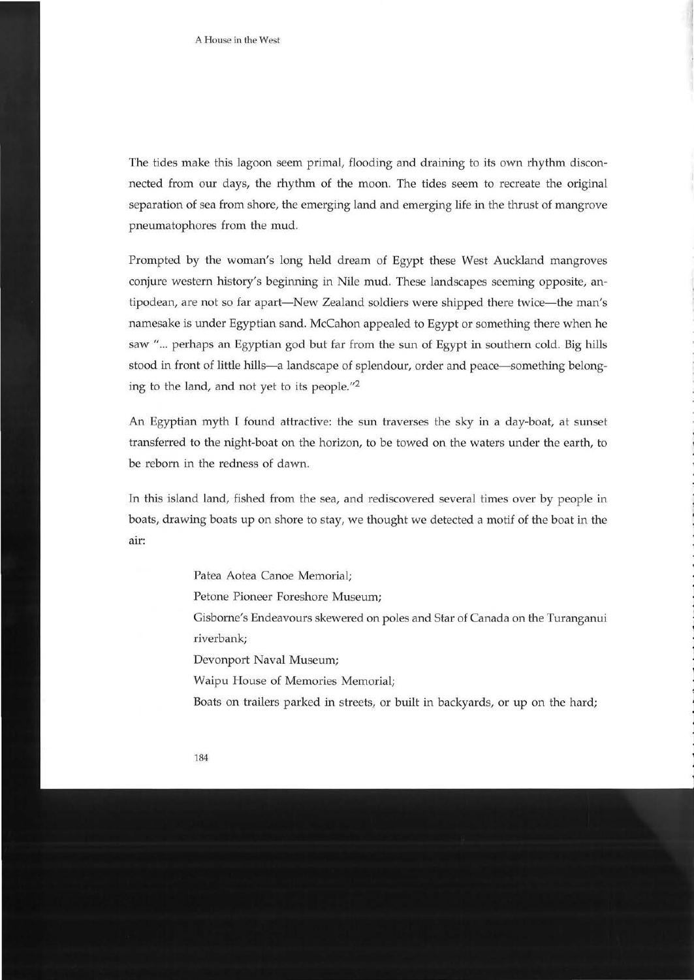The tides make this lagoon seem primal, flooding and draining to its own rhythm disconnected from our days, the rhythm of the moon. The tides seem to recreate the original separation of sea from shore, the emerging land and emerging life in the thrust of mangrove pneumatophores from the mud.

Prompted by the woman's long held dream of Egypt these West Auckland mangroves conjure western history's beginning in Nile mud. These landscapes seeming opposite, antipodean, are not so far apart-New Zealand soldiers were shipped there twice-the man's namesake is under Egyptian sand. McCahon appealed to Egypt or something there when he saw "... perhaps an Egyptian god but far from the sun of Egypt in southern cold. Big hills stood in front of little hills—a landscape of splendour, order and peace—something belonging to the land, and not yet to its people."2

An Egyptian myth I found attractive: the sun traverses the sky in a day-boat, at sunset transferred to the night-boat on the horizon, to be towed on the waters under the earth, to be reborn in the redness of dawn.

In this island land, fished from the sea, and rediscovered several times over by people in boats, drawing boats up on shore to stay, we thought we detected a motif of the boat in the air:

> Patea Aotea Canoe Memorial; Petone Pioneer Foreshore Museum; Gisborne's Endeavours skewered on poles and Star of Canada on the Turanganui riverbank; Devonport Naval Museum; Waipu House of Memories Memorial; Boats on trailers parked in streets, or built in backyards, or up on the hard;

184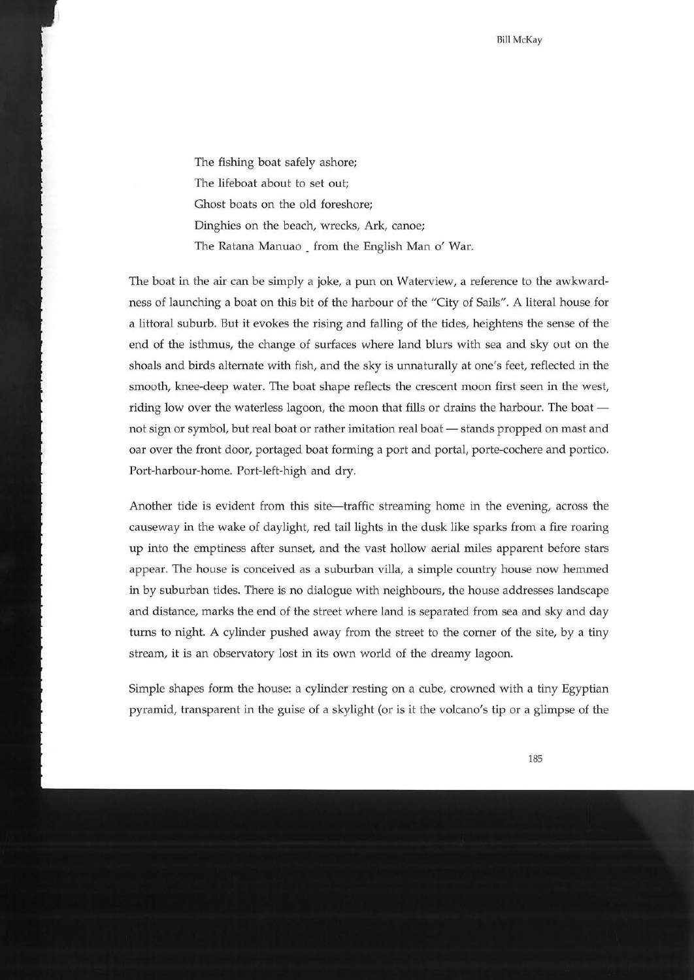The fishing boat safely ashore; The lifeboat about to set out; Ghost boats on the old foreshore; Dinghies on the beach, wrecks, Ark, canoe; The Ratana Manuao from the English Man o' War.

The boat in the air can be simply a joke, a pun on Waterview, a reference to the awkwardness of launching a boat on this bit of the harbour of the "City of Sails". A literal house for a littoral suburb. But it evokes the rising and falling of the tides, heightens the sense of the end of the isthmus, the change of surfaces where land blurs with sea and sky out on the shoals and birds alternate with fish, and the sky is unnaturally at one's feet, reflected in the smooth, knee-deep water. The boat shape reflects the crescent moon first seen in the west, riding low over the waterless lagoon, the moon that fills or drains the harbour. The boat  $$ not sign or symbol, but real boat or rather imitation real boat — stands propped on mast and oar over the front door, portaged boat forming a port and portal, porte-cochere and portico. Port-harbour-home. Port-left-high and dry.

Another tide is evident from this site—traffic streaming home in the evening, across the causeway in the wake of daylight, red tail lights in the dusk like sparks from a fire roaring up into the emptiness after sunset, and the vast hollow aerial miles apparent before stars appear. The house is conceived as a suburban villa, a simple country house now hemmed in by suburban tides. There is no dialogue with neighbours, the house addresses landscape and distance, marks the end of the street where land is separated from sea and sky and day turns to night. A cylinder pushed away from the street to the corner of the site, by a tiny stream, it is an observatory lost in its own world of the dreamy lagoon.

Simple shapes form the house: a cylinder resting on a cube, crowned with a tiny Egyptian pyramid, transparent in the guise of a skylight (or is it the volcano's tip or a glimpse of the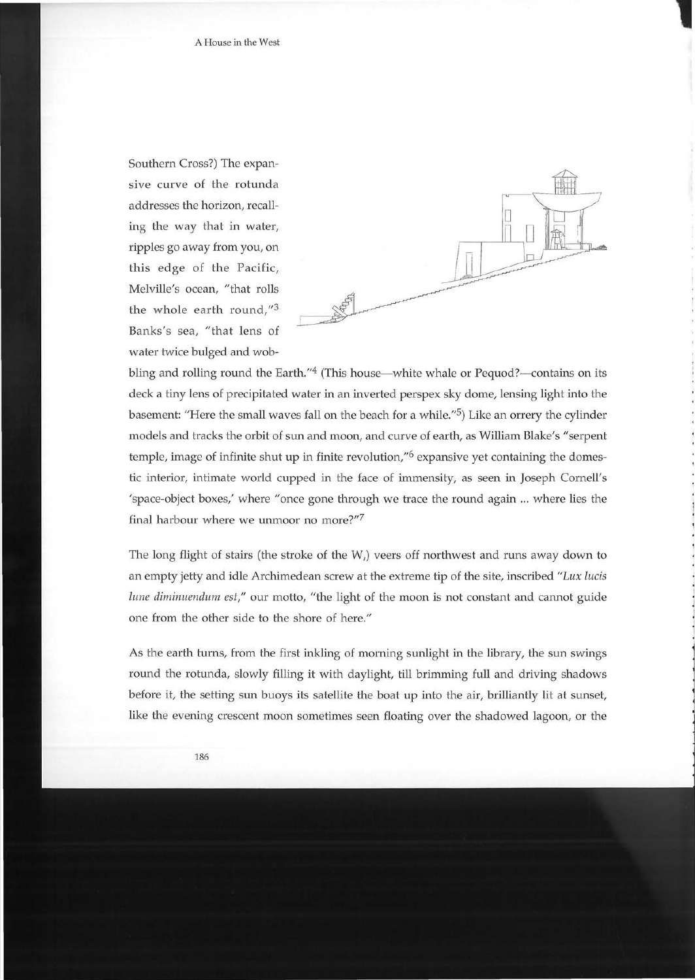A House in the West

Southern Cross?) The expansive curve of the rotunda addresses the horizon, recalling the way that in water, ripples go away from you, on this edge of the Pacific, Melville's ocean, "that rolls the whole earth round,"3 Banks's sea, "that lens of water twice bulged and wob-



1

bling and rolling round the Earth."<sup>4</sup> (This house—white whale or Pequod?-contains on its deck a tiny lens of precipitated water in an inverted perspex sky dome, lensing light into the basement: "Here the small waves fall on the beach for a while."5) Like an orrery the cylinder models and tracks the orbit of sun and moon, and curve of earth, as William Blake's "serpent temple, image of infinite shut up in finite revolution,"6 expansive yet containing the domestic interior, intimate world cupped in the face of immensity, as seen in Joseph Cornell's 'space-object boxes,' where "once gone through we trace the round again ... where lies the final harbour where we unmoor no more?"7

The long flight of stairs (the stroke of the W,) veers off northwest and runs away down to an empty jetty and idle Archimedean screw at the extreme tip of the site, inscribed *"Lux lucis lune diminuendum est,"* our motto, "the light of the moon is not constant and cannot guide one from the other side to the shore of here."

As the earth turns, from the first inkling of morning sunlight in the library, the sun swings round the rotunda, slowly filling it with daylight, till brimming full and driving shadows before it, the setting sun buoys its satellite the boat up into the air, brilliantly lit at sunset, like the evening crescent moon sometimes seen floating over the shadowed lagoon, or the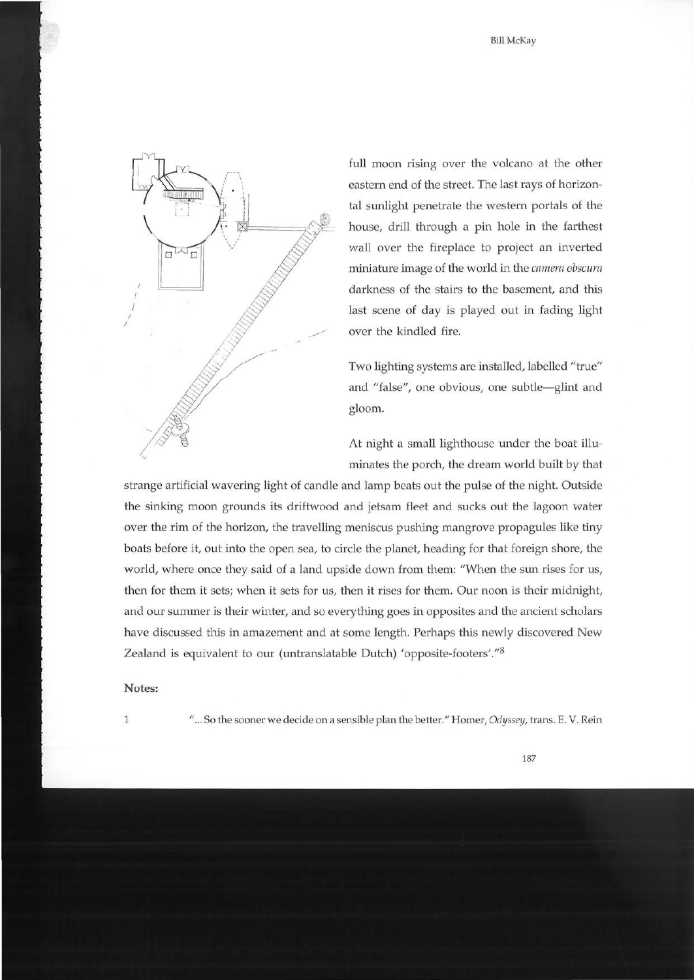

**full** moon rising over the volcano at the other eastern end of the street. The last rays of horizontal sunlight penetrate the western portals of the house, drill through a pin hole in the farthest wall over the fireplace to project an inverted miniature image of the world in the *camera obscura*  darkness of the stairs to the basement, and this last scene of day is played out in fading light over the kindled fire.

Two lighting systems are installed, labelled "true" and "false", one obvious, one subtle-glint and gloom.

At night a small lighthouse under the boat **illu**minates the porch, the dream world built by that

strange artificial wavering light of candle and lamp beats out the pulse of the night. Outside the sinking moon grounds its driftwood and jetsam fleet and sucks out the lagoon water over the rim of the horizon, the travelling meniscus pushing mangrove propagules like tiny boats before it, out into the open sea, to circle the planet, heading for that foreign shore, the world, where once they said of a land upside down from them: "When the sun rises for us, then for them it sets; when it sets for us, then **it** rises for them. Our noon is their midnight, and our summer is their winter, and so everything goes in opposites and the ancient scholars have discussed this in amazement and at some length. Perhaps this newly discovered New Zealand is equivalent to our (untranslatable Dutch) 'opposite-footers'."8

## **Notes:**

1 " ... So the sooner we decide on a sensible plan the better." Homer, *Odyssey,* trans. E. V. Rein